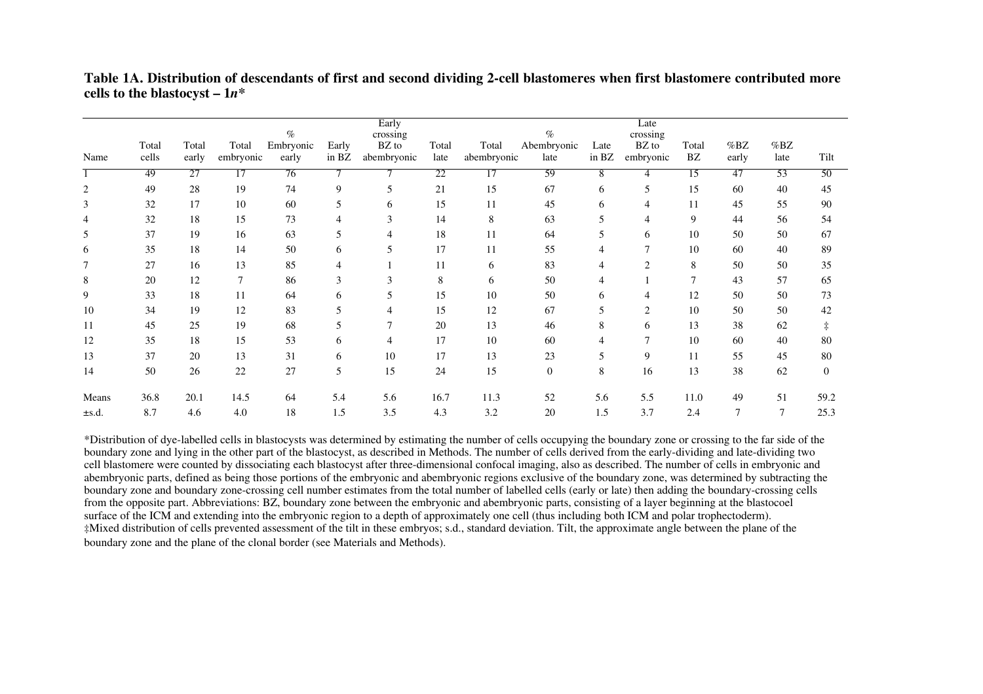|            |                |                |                    | $\%$               |                  | Early                            |               |                      | $\%$                |                 | Late                           |                 |               |              |                |
|------------|----------------|----------------|--------------------|--------------------|------------------|----------------------------------|---------------|----------------------|---------------------|-----------------|--------------------------------|-----------------|---------------|--------------|----------------|
| Name       | Total<br>cells | Total<br>early | Total<br>embryonic | Embryonic<br>early | Early<br>in $BZ$ | crossing<br>BZ to<br>abembryonic | Total<br>late | Total<br>abembryonic | Abembryonic<br>late | Late<br>in $BZ$ | crossing<br>BZ to<br>embryonic | Total<br>BZ     | % BZ<br>early | % BZ<br>late | Tilt           |
|            | 49             | 27             | 17                 | $\overline{76}$    | 7                |                                  | 22            | 17                   | 59                  | 8               | 4                              | $\overline{15}$ | 47            | 53           | 50             |
| 2          | 49             | 28             | 19                 | 74                 | 9                | 5                                | 21            | 15                   | 67                  | 6               | 5                              | 15              | 60            | 40           | 45             |
| 3          | 32             | 17             | 10                 | 60                 | 5                | 6                                | 15            | 11                   | 45                  | 6               | 4                              | 11              | 45            | 55           | 90             |
| 4          | 32             | 18             | 15                 | 73                 | 4                | 3                                | 14            | 8                    | 63                  | 5               | 4                              | 9               | 44            | 56           | 54             |
| 5          | 37             | 19             | 16                 | 63                 | 5                | 4                                | 18            | 11                   | 64                  | 5               | 6                              | 10              | 50            | 50           | 67             |
| 6          | 35             | 18             | 14                 | 50                 | 6                | 5.                               | 17            | 11                   | 55                  | 4               | 7                              | 10              | 60            | 40           | 89             |
| 7          | 27             | 16             | 13                 | 85                 | 4                |                                  | 11            | 6                    | 83                  | 4               | $\overline{2}$                 | 8               | 50            | 50           | 35             |
| 8          | 20             | 12             | 7                  | 86                 | 3                | 3                                | 8             | 6                    | 50                  | 4               |                                | 7               | 43            | 57           | 65             |
| 9          | 33             | 18             | 11                 | 64                 | 6                | 5                                | 15            | 10                   | 50                  | 6               | 4                              | 12              | 50            | 50           | 73             |
| 10         | 34             | 19             | 12                 | 83                 | 5                | 4                                | 15            | 12                   | 67                  | 5               | $\overline{2}$                 | 10              | 50            | 50           | 42             |
| 11         | 45             | 25             | 19                 | 68                 | 5                | 7                                | 20            | 13                   | 46                  | 8               | 6                              | 13              | 38            | 62           | ŧ              |
| 12         | 35             | 18             | 15                 | 53                 | 6                | $\overline{4}$                   | 17            | 10                   | 60                  | $\overline{4}$  | 7                              | 10              | 60            | 40           | 80             |
| 13         | 37             | 20             | 13                 | 31                 | 6                | 10                               | 17            | 13                   | 23                  | 5               | 9                              | 11              | 55            | 45           | 80             |
| 14         | 50             | 26             | 22                 | 27                 | 5                | 15                               | 24            | 15                   | $\overline{0}$      | 8               | 16                             | 13              | 38            | 62           | $\overline{0}$ |
| Means      | 36.8           | 20.1           | 14.5               | 64                 | 5.4              | 5.6                              | 16.7          | 11.3                 | 52                  | 5.6             | 5.5                            | 11.0            | 49            | 51           | 59.2           |
| $\pm$ s.d. | 8.7            | 4.6            | 4.0                | 18                 | 1.5              | 3.5                              | 4.3           | 3.2                  | 20                  | 1.5             | 3.7                            | 2.4             | 7             | 7            | 25.3           |

**Table 1A. Distribution of descendants of first and second dividing 2-cell blastomeres when first blastomere contributed more cells to the blastocyst – 1** *n* **\***

\*Distribution of dye-labelled cells in blastocysts was determined by estimating the number of cells occupying the boundary zone or crossing to the far side of the boundary zone and lying in the other part of the blastocyst, as described in Methods. The number of cells derived from the early-dividing and late-dividing two cell blastomere were counted by dissociating each blastocyst after three-dimensional confocal imaging, also as described. The number of cells in embryonic and abembryonic parts, defined as being those portions of the embryonic and abembryonic regions exclusive of the boundary zone, was determined by subtracting the boundary zone and boundary zone-crossing cell number estimates from the total number of labelled cells (early or late) then adding the boundary-crossing cells from the opposite part. Abbreviations: BZ, boundary zone between the embryonic and abembryonic parts, consisting of a layer beginning at the blastocoel surface of the ICM and extending into the embryonic region to a depth of approximately one cell (thus including both ICM and polar trophectoderm). ‡Mixed distribution of cells prevented assessment of the tilt in these embryos; s.d., standard deviation. Tilt, the approximate angle between the plane of the boundary zone and the plane of the clonal border (see Materials and Methods).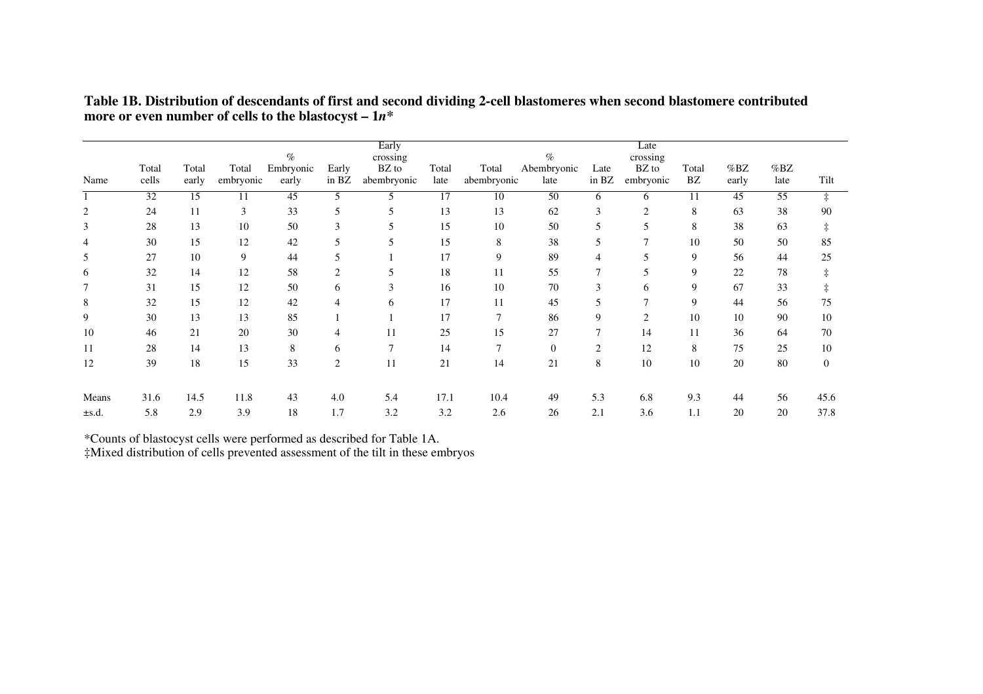|                |       |       |           |           |                | Early       |       |                |                 |         | Late      |       |       |                 |                |
|----------------|-------|-------|-----------|-----------|----------------|-------------|-------|----------------|-----------------|---------|-----------|-------|-------|-----------------|----------------|
|                |       |       |           | $\%$      |                | crossing    |       |                | $\%$            |         | crossing  |       |       |                 |                |
|                | Total | Total | Total     | Embryonic | Early          | BZ to       | Total | Total          | Abembryonic     | Late    | BZ to     | Total | % BZ  | % BZ            |                |
| Name           | cells | early | embryonic | early     | in $BZ$        | abembryonic | late  | abembryonic    | late            | in $BZ$ | embryonic | BZ    | early | late            | Tilt           |
|                | 32    | 15    | 11        | 45        |                |             | 17    | 10             | $\overline{50}$ | 6       | 6         | 11    | 45    | $\overline{55}$ | $\ddagger$     |
| 2              | 24    | 11    | 3         | 33        | 5              | 5           | 13    | 13             | 62              | 3       | 2         | 8     | 63    | 38              | 90             |
| 3              | 28    | 13    | 10        | 50        | 3              | 5           | 15    | 10             | 50              | 5       | 5         | 8     | 38    | 63              | $\ddagger$     |
| $\overline{4}$ | 30    | 15    | 12        | 42        | 5              | 5           | 15    | 8              | 38              | 5       | 7         | 10    | 50    | 50              | 85             |
| 5              | 27    | 10    | 9         | 44        | 5              |             | 17    | 9              | 89              | 4       | 5         | 9     | 56    | 44              | 25             |
| 6              | 32    | 14    | 12        | 58        | 2              | 5           | 18    | 11             | 55              | 7       | 5         | 9     | 22    | 78              | $\ddagger$     |
| $\tau$         | 31    | 15    | 12        | 50        | 6              | 3           | 16    | 10             | 70              | 3       | 6         | 9     | 67    | 33              | $\ddagger$     |
| 8              | 32    | 15    | 12        | 42        | $\overline{4}$ | 6           | 17    | 11             | 45              | 5       | 7         | 9     | 44    | 56              | 75             |
| 9              | 30    | 13    | 13        | 85        |                |             | 17    | $\overline{7}$ | 86              | 9       | 2         | 10    | 10    | 90              | 10             |
| 10             | 46    | 21    | 20        | 30        | $\overline{4}$ | 11          | 25    | 15             | 27              | 7       | 14        | 11    | 36    | 64              | 70             |
| 11             | 28    | 14    | 13        | 8         | 6              |             | 14    | $\overline{7}$ | $\overline{0}$  | 2       | 12        | 8     | 75    | 25              | 10             |
| 12             | 39    | 18    | 15        | 33        | $\overline{2}$ | 11          | 21    | 14             | 21              | 8       | 10        | 10    | 20    | 80              | $\overline{0}$ |
| Means          | 31.6  | 14.5  | 11.8      | 43        | 4.0            | 5.4         | 17.1  | 10.4           | 49              | 5.3     | 6.8       | 9.3   | 44    | 56              | 45.6           |
| $\pm$ s.d.     | 5.8   | 2.9   | 3.9       | 18        | 1.7            | 3.2         | 3.2   | 2.6            | 26              | 2.1     | 3.6       | 1.1   | 20    | 20              | 37.8           |

**Table 1B. Distribution of descendants of first and second dividing 2-cell blastomeres when second blastomere contributed more or even number of cells to the blastocyst – 1** *n* **\***

\*Counts of blastocyst cells were performed as described for Table 1A. ‡Mixed distribution of cells prevented assessment of the tilt in these embryos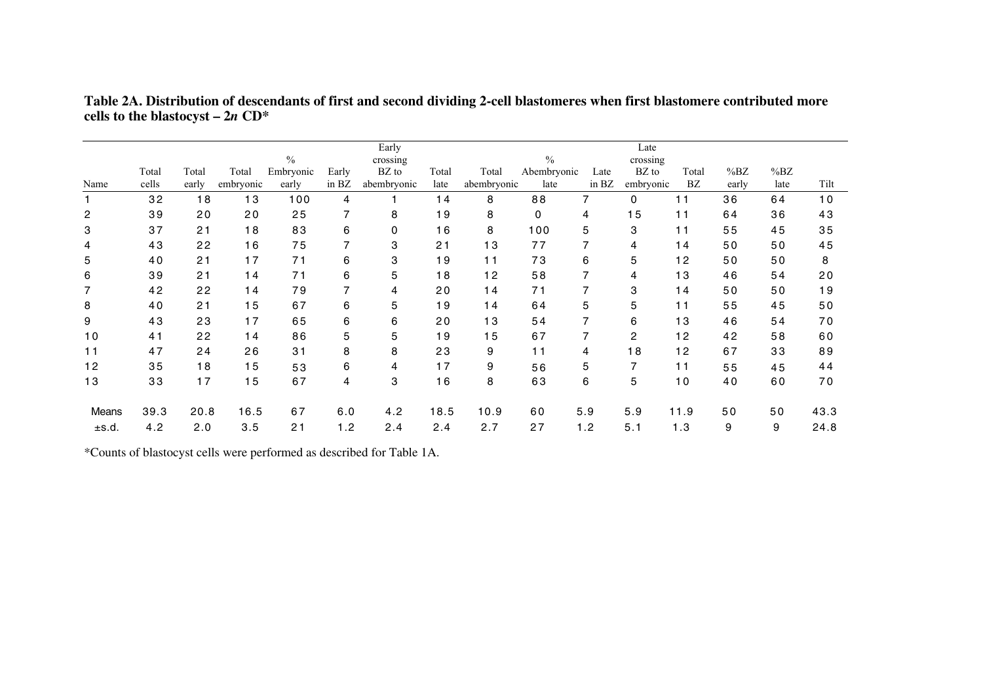# **Table 2A. Distribution of descendants of first and second dividing 2-cell blastomeres when first blastomere contributed more cells to the blastocyst – 2** *<sup>n</sup>* **CD\***

|       |       |       |           |               |         | Early       |       |             |               |                | Late           |       |       |      |      |
|-------|-------|-------|-----------|---------------|---------|-------------|-------|-------------|---------------|----------------|----------------|-------|-------|------|------|
|       |       |       |           | $\frac{0}{0}$ |         | crossing    |       |             | $\frac{0}{0}$ |                | crossing       |       |       |      |      |
|       | Total | Total | Total     | Embryonic     | Early   | BZ to       | Total | Total       | Abembryonic   | Late           | BZ to          | Total | %BZ   | %BZ  |      |
| Name  | cells | early | embryonic | early         | in $BZ$ | abembryonic | late  | abembryonic | late          | in BZ          | embryonic      | BZ    | early | late | Tilt |
|       | 32    | 18    | 13        | 100           | 4       | 1           | 14    | 8           | 88            | $\overline{7}$ | 0              | 11    | 36    | 64   | 10   |
| 2     | 39    | 20    | 20        | 25            | 7       | 8           | 19    | 8           | 0             | 4              | 15             | 11    | 64    | 36   | 43   |
| 3     | 37    | 21    | 18        | 83            | 6       | 0           | 16    | 8           | 100           | 5              | 3              | 11    | 55    | 45   | 35   |
| 4     | 43    | 22    | 16        | 75            | 7       | 3           | 21    | 13          | 77            | 7              | 4              | 14    | 50    | 50   | 45   |
| 5     | 40    | 21    | 17        | 71            | 6       | 3           | 19    | 11          | 73            | 6              | 5              | 12    | 50    | 50   | 8    |
| 6     | 39    | 21    | 14        | 71            | 6       | 5           | 18    | 12          | 58            | 7              | 4              | 13    | 46    | 54   | 20   |
|       | 42    | 22    | 14        | 79            | 7       | 4           | 20    | 14          | 71            |                | 3              | 14    | 50    | 50   | 19   |
| 8     | 40    | 21    | 15        | 67            | 6       | 5           | 19    | 14          | 64            | 5              | 5              | 11    | 55    | 45   | 50   |
| 9     | 43    | 23    | 17        | 65            | 6       | 6           | 20    | 13          | 54            | 7              | 6              | 13    | 46    | 54   | 70   |
| 10    | 41    | 22    | 14        | 86            | 5       | 5           | 19    | 15          | 67            | 7              | $\overline{c}$ | 12    | 42    | 58   | 60   |
| 11    | 47    | 24    | 26        | 31            | 8       | 8           | 23    | 9           | 11            | 4              | 18             | 12    | 67    | 33   | 89   |
| 12    | 35    | 18    | 15        | 53            | 6       | 4           | 17    | 9           | 56            | 5              | 7              | 11    | 55    | 45   | 44   |
| 13    | 33    | 17    | 15        | 67            | 4       | 3           | 16    | 8           | 63            | 6              | 5              | 10    | 40    | 60   | 70   |
| Means | 39.3  | 20.8  | 16.5      | 67            | 6.0     | 4.2         | 18.5  | 10.9        | 60            | 5.9            | 5.9            | 11.9  | 50    | 50   | 43.3 |
| ±s.d. | 4.2   | 2.0   | 3.5       | 21            | 1.2     | 2.4         | 2.4   | 2.7         | 27            | 1.2            | 5.1            | 1.3   | 9     | 9    | 24.8 |

\*Counts of blastocyst cells were performed as described for Table 1A.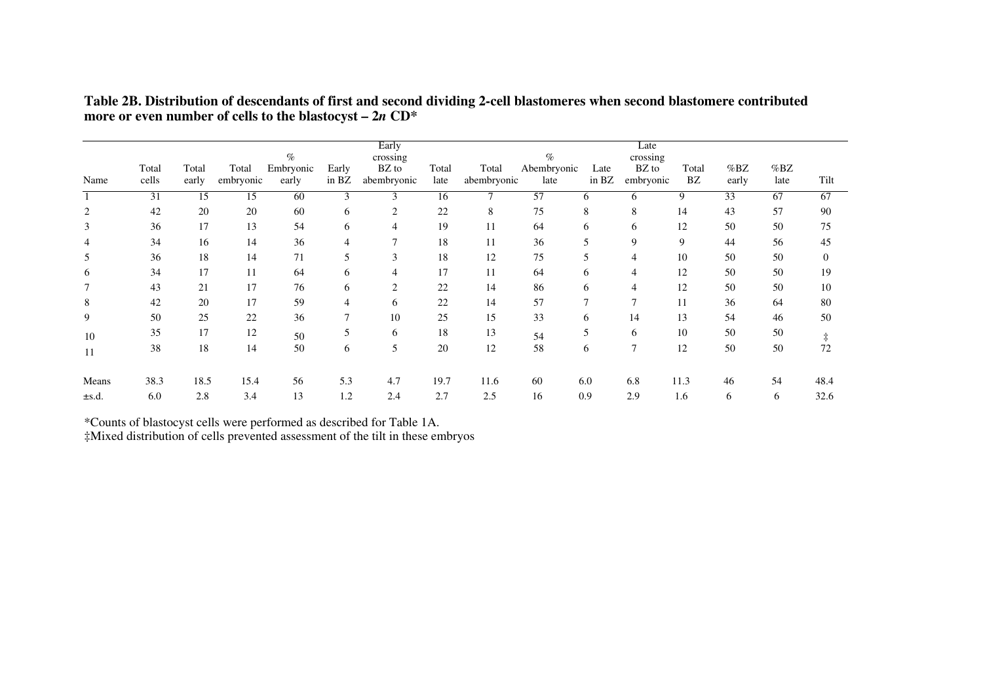## **Table 2B. Distribution of descendants of first and second dividing 2-cell blastomeres when second blastomere contributed more or even number of cells to the blastocyst – 2** *<sup>n</sup>* **CD\***

|            |       |       |           |           |         | Early          |       |             |             |                | Late          |       |       |      |              |
|------------|-------|-------|-----------|-----------|---------|----------------|-------|-------------|-------------|----------------|---------------|-------|-------|------|--------------|
|            |       |       |           | $\%$      |         | crossing       |       |             | $\%$        |                | crossing      |       |       |      |              |
|            | Total | Total | Total     | Embryonic | Early   | BZ to          | Total | Total       | Abembryonic | Late           | BZ to         | Total | % BZ  | % BZ |              |
| Name       | cells | early | embryonic | early     | in $BZ$ | abembryonic    | late  | abembryonic | late        | in BZ          | embryonic     | BZ    | early | late | Tilt         |
|            | 31    | 15    | 15        | 60        | 3       | 3              | 16    |             | 57          | 6              | 6.            | 9     | 33    | 67   | 67           |
|            | 42    | 20    | 20        | 60        | 6       | $\overline{c}$ | 22    | 8           | 75          | 8              | 8             | 14    | 43    | 57   | 90           |
| 3          | 36    | 17    | 13        | 54        | 6       | $\overline{4}$ | 19    | 11          | 64          | 6              | 6             | 12    | 50    | 50   | 75           |
|            | 34    | 16    | 14        | 36        | 4       | 7              | 18    | 11          | 36          | 5              | 9             | 9     | 44    | 56   | 45           |
| 5          | 36    | 18    | 14        | 71        | 5       | 3              | 18    | 12          | 75          | 5              | 4             | 10    | 50    | 50   | $\mathbf{0}$ |
| 6          | 34    | 17    | 11        | 64        | 6       | $\overline{4}$ | 17    | 11          | 64          | 6              | 4             | 12    | 50    | 50   | 19           |
| 7          | 43    | 21    | 17        | 76        | 6       | 2              | 22    | 14          | 86          | 6              | 4             | 12    | 50    | 50   | 10           |
| 8          | 42    | 20    | 17        | 59        | 4       | 6              | 22    | 14          | 57          | $\overline{7}$ | $\mathcal{I}$ | 11    | 36    | 64   | 80           |
| 9          | 50    | 25    | 22        | 36        | 7       | 10             | 25    | 15          | 33          | 6              | 14            | 13    | 54    | 46   | 50           |
| 10         | 35    | 17    | 12        | 50        | 5       | 6              | 18    | 13          | 54          | 5              | 6             | 10    | 50    | 50   | $\ddagger$   |
| 11         | 38    | 18    | 14        | 50        | 6       | 5              | 20    | 12          | 58          | 6              | $\tau$        | 12    | 50    | 50   | 72           |
| Means      | 38.3  | 18.5  | 15.4      | 56        | 5.3     | 4.7            | 19.7  | 11.6        | 60          | 6.0            | 6.8           | 11.3  | 46    | 54   | 48.4         |
| $\pm$ s.d. | 6.0   | 2.8   | 3.4       | 13        | 1.2     | 2.4            | 2.7   | 2.5         | 16          | 0.9            | 2.9           | 1.6   | 6     | 6    | 32.6         |

\*Counts of blastocyst cells were performed as described for Table 1A. ‡Mixed distribution of cells prevented assessment of the tilt in these embryos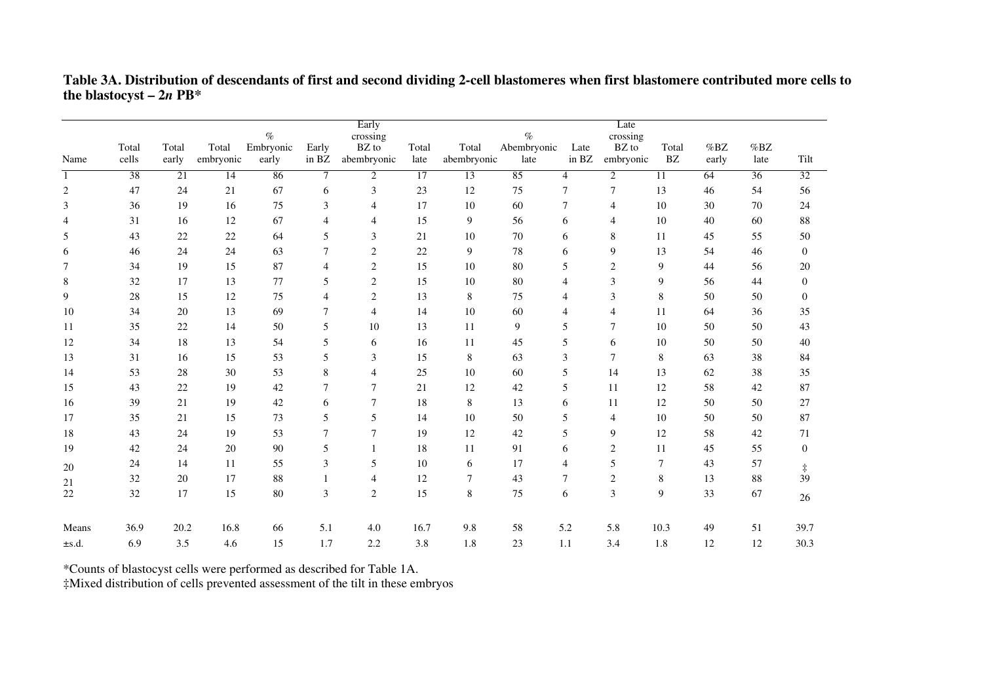**Table 3A. Distribution of descendants of first and second dividing 2-cell blastomeres when first blastomere contributed more cells to the blastocyst – 2** *<sup>n</sup>* **PB\***

| Name           | Total<br>cells | Total<br>early | Total<br>embryonic | $\%$<br>Embryonic<br>early | Early<br>in BZ | Early<br>crossing<br>BZ to<br>abembryonic | Total<br>late | Total<br>abembryonic | $\%$<br>Abembryonic<br>late | Late<br>in BZ  | Late<br>crossing<br>BZ to<br>embryonic | Total<br>$\mathbf{B}\mathbf{Z}$ | % BZ<br>early | $\%{\rm BZ}$<br>late | Tilt                                          |
|----------------|----------------|----------------|--------------------|----------------------------|----------------|-------------------------------------------|---------------|----------------------|-----------------------------|----------------|----------------------------------------|---------------------------------|---------------|----------------------|-----------------------------------------------|
| -1             | 38             | 21             | $\overline{14}$    | 86                         | 7              | 2                                         | 17            | 13                   | 85                          | $\overline{4}$ | 2                                      | 11                              | 64            | 36                   | 32                                            |
| $\overline{2}$ | 47             | 24             | 21                 | 67                         | 6              | $\mathfrak 3$                             | 23            | 12                   | 75                          | $\overline{7}$ | 7                                      | 13                              | 46            | 54                   | 56                                            |
| 3              | 36             | 19             | 16                 | 75                         | 3              | $\overline{4}$                            | 17            | 10                   | 60                          | $\overline{7}$ | $\overline{4}$                         | 10                              | 30            | 70                   | 24                                            |
| 4              | 31             | 16             | 12                 | 67                         | 4              | $\overline{4}$                            | 15            | 9                    | 56                          | 6              | 4                                      | 10                              | 40            | 60                   | 88                                            |
| 5              | 43             | 22             | 22                 | 64                         | 5              | 3                                         | 21            | 10                   | 70                          | 6              | 8                                      | 11                              | 45            | 55                   | 50                                            |
| 6              | 46             | 24             | 24                 | 63                         | 7              | $\overline{2}$                            | 22            | 9                    | 78                          | 6              | 9                                      | 13                              | 54            | 46                   | $\boldsymbol{0}$                              |
| 7              | 34             | 19             | 15                 | 87                         | 4              | $\overline{c}$                            | 15            | 10                   | 80                          | 5              | $\sqrt{2}$                             | 9                               | 44            | 56                   | 20                                            |
| 8              | 32             | 17             | 13                 | 77                         | 5              | $\boldsymbol{2}$                          | 15            | $10\,$               | 80                          | $\overline{4}$ | 3                                      | 9                               | 56            | 44                   | $\boldsymbol{0}$                              |
| 9              | 28             | 15             | $12\,$             | 75                         | 4              | $\boldsymbol{2}$                          | 13            | 8                    | 75                          | $\overline{4}$ | 3                                      | $\,$ 8 $\,$                     | 50            | 50                   | $\boldsymbol{0}$                              |
| 10             | 34             | $20\,$         | 13                 | 69                         | 7              | $\overline{4}$                            | 14            | 10                   | 60                          | $\overline{4}$ | 4                                      | 11                              | 64            | 36                   | 35                                            |
| 11             | 35             | 22             | 14                 | 50                         | 5              | 10                                        | 13            | 11                   | 9                           | 5              | 7                                      | 10                              | 50            | 50                   | 43                                            |
| 12             | 34             | 18             | 13                 | 54                         | 5              | 6                                         | 16            | 11                   | 45                          | 5              | 6                                      | 10                              | 50            | 50                   | 40                                            |
| 13             | 31             | 16             | 15                 | 53                         | 5              | 3                                         | 15            | 8                    | 63                          | 3              | 7                                      | 8                               | 63            | 38                   | 84                                            |
| 14             | 53             | $28\,$         | 30                 | 53                         | 8              | $\overline{4}$                            | 25            | 10                   | 60                          | 5              | 14                                     | 13                              | 62            | $38\,$               | 35                                            |
| 15             | 43             | 22             | 19                 | 42                         | 7              | $\overline{7}$                            | 21            | 12                   | 42                          | 5              | 11                                     | 12                              | 58            | 42                   | 87                                            |
| 16             | 39             | 21             | 19                 | 42                         | 6              | $\overline{7}$                            | 18            | 8                    | 13                          | 6              | 11                                     | 12                              | 50            | 50                   | 27                                            |
| 17             | 35             | 21             | 15                 | 73                         | 5              | 5                                         | 14            | 10                   | 50                          | 5              | 4                                      | 10                              | 50            | 50                   | 87                                            |
| 18             | 43             | 24             | 19                 | 53                         | 7              | $\overline{7}$                            | 19            | 12                   | 42                          | 5              | 9                                      | 12                              | 58            | 42                   | 71                                            |
| 19             | 42             | 24             | 20                 | 90                         | 5              | $\mathbf{1}$                              | 18            | 11                   | 91                          | 6              | $\overline{c}$                         | 11                              | 45            | 55                   | $\boldsymbol{0}$                              |
| $20\,$         | 24             | 14             | 11                 | 55                         | 3              | 5                                         | 10            | 6                    | 17                          | $\overline{4}$ | 5                                      | 7                               | 43            | 57                   |                                               |
| 21             | 32             | 20             | 17                 | 88                         | 1              | 4                                         | 12            | 7                    | 43                          | $\tau$         | $\overline{c}$                         | $\,$ 8 $\,$                     | 13            | 88                   | $\begin{array}{c} \ddagger \\ 39 \end{array}$ |
| 22             | 32             | 17             | 15                 | 80                         | 3              | $\mathbf{2}$                              | 15            | 8                    | 75                          | 6              | $\mathfrak{Z}$                         | 9                               | 33            | 67                   | 26                                            |
| Means          | 36.9           | 20.2           | 16.8               | 66                         | 5.1            | 4.0                                       | 16.7          | 9.8                  | 58                          | 5.2            | 5.8                                    | 10.3                            | 49            | 51                   | 39.7                                          |
| $\pm$ s.d.     | 6.9            | 3.5            | 4.6                | 15                         | 1.7            | 2.2                                       | 3.8           | 1.8                  | 23                          | 1.1            | 3.4                                    | 1.8                             | 12            | 12                   | 30.3                                          |

\*Counts of blastocyst cells were performed as described for Table 1A.

‡Mixed distribution of cells prevented assessment of the tilt in these embryos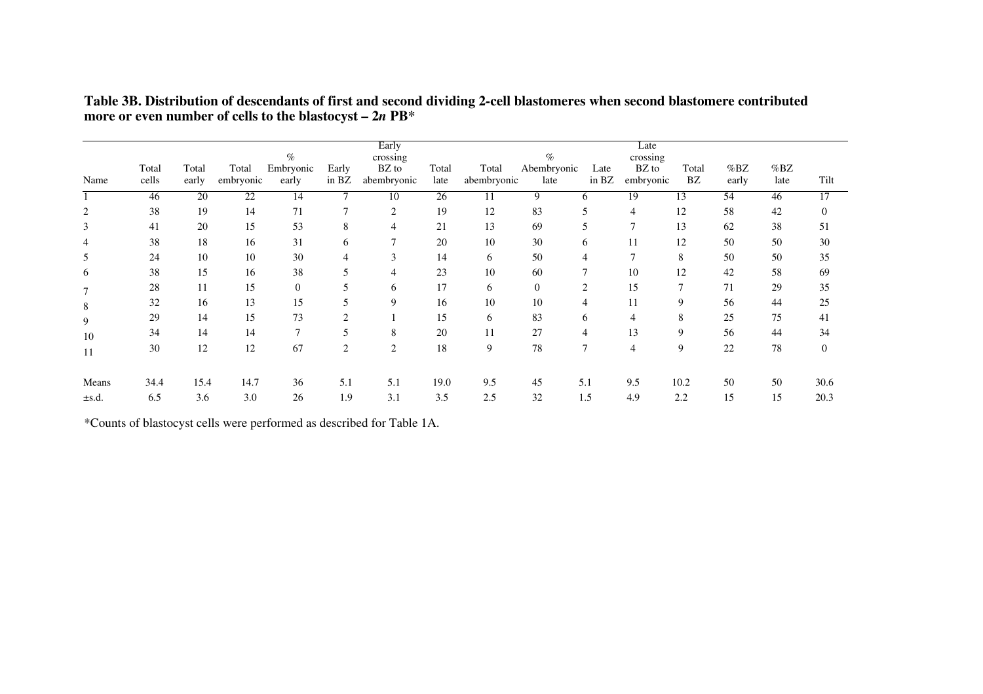## **Table 3B. Distribution of descendants of first and second dividing 2-cell blastomeres when second blastomere contributed more or even number of cells to the blastocyst – 2** *<sup>n</sup>* **PB\***

|                |       |       |           |              |         | Early          |                 |             |              |                | Late      |        |       |      |                |
|----------------|-------|-------|-----------|--------------|---------|----------------|-----------------|-------------|--------------|----------------|-----------|--------|-------|------|----------------|
|                |       |       |           | $\%$         |         | crossing       |                 |             | $\%$         |                | crossing  |        |       |      |                |
|                | Total | Total | Total     | Embryonic    | Early   | BZ to          | Total           | Total       | Abembryonic  | Late           | BZ to     | Total  | % BZ  | % BZ |                |
| Name           | cells | early | embryonic | early        | in $BZ$ | abembryonic    | late            | abembryonic | late         | in $BZ$        | embryonic | BZ     | early | late | Tilt           |
|                | 46    | 20    | 22        | 14           |         | 10             | $\overline{26}$ | 11          | 9            | 6              | 19        | 13     | 54    | 46   | 17             |
| 2              | 38    | 19    | 14        | 71           |         | $\overline{2}$ | 19              | 12          | 83           | 5              | 4         | 12     | 58    | 42   | $\overline{0}$ |
| 3              | 41    | 20    | 15        | 53           | 8       | 4              | 21              | 13          | 69           | 5              | 7         | 13     | 62    | 38   | 51             |
| $\overline{4}$ | 38    | 18    | 16        | 31           | 6       | 7              | 20              | 10          | 30           | 6              | 11        | 12     | 50    | 50   | 30             |
| 5              | 24    | 10    | 10        | 30           | 4       | 3              | 14              | 6           | 50           | 4              | $\tau$    | 8      | 50    | 50   | 35             |
| 6              | 38    | 15    | 16        | 38           | 5       | 4              | 23              | 10          | 60           | $\tau$         | 10        | 12     | 42    | 58   | 69             |
| $\overline{7}$ | 28    | 11    | 15        | $\mathbf{0}$ | 5.      | 6              | 17              | 6           | $\mathbf{0}$ | $\overline{c}$ | 15        | $\tau$ | 71    | 29   | 35             |
| 8              | 32    | 16    | 13        | 15           |         | 9              | 16              | 10          | 10           | $\overline{4}$ | 11        | 9      | 56    | 44   | 25             |
| 9              | 29    | 14    | 15        | 73           | 2       |                | 15              | 6           | 83           | 6              | 4         | 8      | 25    | 75   | 41             |
| 10             | 34    | 14    | 14        | $\tau$       | 5       | 8              | 20              | 11          | 27           | $\overline{4}$ | 13        | 9      | 56    | 44   | 34             |
| 11             | 30    | 12    | 12        | 67           | 2       | $\overline{2}$ | 18              | 9           | 78           | $\tau$         | 4         | 9      | 22    | 78   | $\overline{0}$ |
| Means          | 34.4  | 15.4  | 14.7      | 36           | 5.1     | 5.1            | 19.0            | 9.5         | 45           | 5.1            | 9.5       | 10.2   | 50    | 50   | 30.6           |
| $\pm$ s.d.     | 6.5   | 3.6   | 3.0       | 26           | 1.9     | 3.1            | 3.5             | 2.5         | 32           | 1.5            | 4.9       | 2.2    | 15    | 15   | 20.3           |

\*Counts of blastocyst cells were performed as described for Table 1A.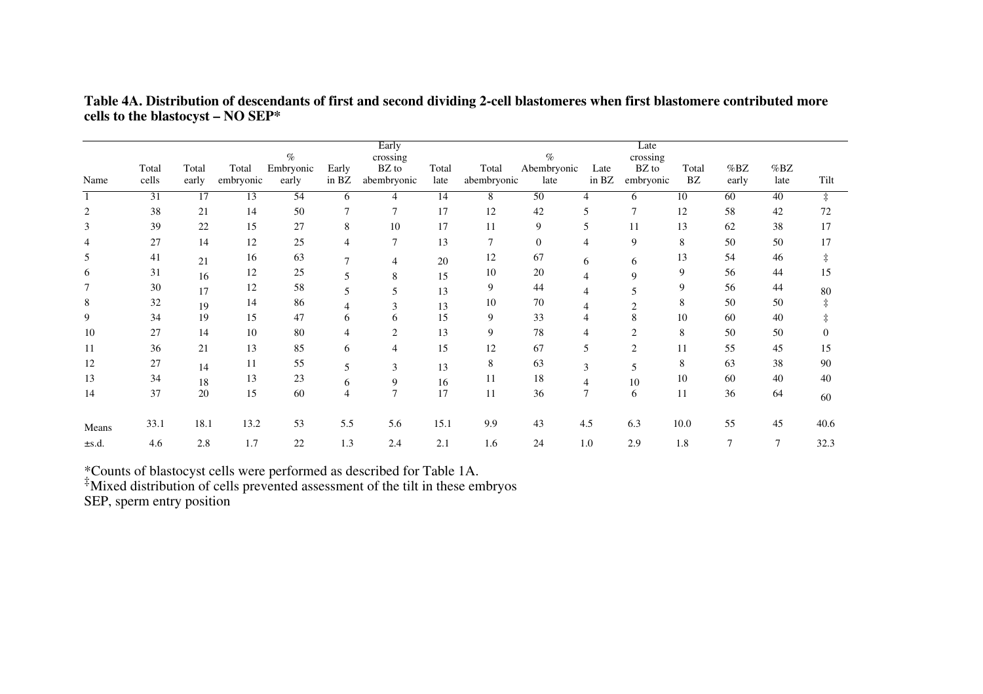### **Table 4A. Distribution of descendants of first and second dividing 2-cell blastomeres when first blastomere contributed more cells to the blastocyst – NO SEP\***

|            |                |                |                    | $\%$               |                  | Early<br>crossing      |               |                      | $\%$                |                | Late<br>crossing   |             |               |              |            |
|------------|----------------|----------------|--------------------|--------------------|------------------|------------------------|---------------|----------------------|---------------------|----------------|--------------------|-------------|---------------|--------------|------------|
| Name       | Total<br>cells | Total<br>early | Total<br>embryonic | Embryonic<br>early | Early<br>in $BZ$ | $BZ$ to<br>abembryonic | Total<br>late | Total<br>abembryonic | Abembryonic<br>late | Late<br>in BZ  | BZ to<br>embryonic | Total<br>BZ | % BZ<br>early | % BZ<br>late | Tilt       |
|            | 31             | 17             | 13                 | 54                 | 6                | 4                      | 14            | 8                    | 50                  | 4              | 6                  | 10          | 60            | 40           | $\ddagger$ |
|            | 38             | 21             | 14                 | 50                 |                  | 7                      | 17            | 12                   | 42                  | 5              | 7                  | 12          | 58            | 42           | 72         |
| 3          | 39             | 22             | 15                 | 27                 | 8                | 10                     | 17            | 11                   | 9                   | 5              | 11                 | 13          | 62            | 38           | 17         |
|            | 27             | 14             | 12                 | 25                 | 4                | 7                      | 13            | 7                    | $\mathbf{0}$        | 4              | 9                  | 8           | 50            | 50           | 17         |
| ,          | 41             | 21             | 16                 | 63                 | 7                | $\overline{4}$         | 20            | 12                   | 67                  | 6              | 6                  | 13          | 54            | 46           | $\ddagger$ |
| 6          | 31             | 16             | 12                 | 25                 | 5.               | 8                      | 15            | 10                   | 20                  | $\overline{4}$ | 9                  | 9           | 56            | 44           | 15         |
|            | 30             | 17             | 12                 | 58                 | 5                | 5                      | 13            | 9                    | 44                  | 4              | 5                  | 9           | 56            | 44           | 80         |
| 8          | 32             | 19             | 14                 | 86                 |                  | 3                      | 13            | 10                   | 70                  | 4              | $\overline{c}$     | 8           | 50            | 50           | $\ddagger$ |
| 9          | 34             | 19             | 15                 | 47                 | 6                | 6                      | 15            | 9                    | 33                  | 4              | 8                  | 10          | 60            | 40           |            |
| 10         | 27             | 14             | 10                 | 80                 |                  | $\overline{2}$         | 13            | 9                    | 78                  | 4              | 2                  | 8           | 50            | 50           | $\Omega$   |
| 11         | 36             | 21             | 13                 | 85                 | 6                | $\overline{4}$         | 15            | 12                   | 67                  | 5              | 2                  | 11          | 55            | 45           | 15         |
| 12         | 27             | 14             | 11                 | 55                 | 5                | 3                      | 13            | 8                    | 63                  | 3              | 5                  | 8           | 63            | 38           | 90         |
| 13         | 34             | 18             | 13                 | 23                 | 6                | 9                      | 16            | 11                   | 18                  | 4              | 10                 | 10          | 60            | 40           | 40         |
| 14         | 37             | 20             | 15                 | 60                 | 4                | $\overline{7}$         | 17            | 11                   | 36                  | $\overline{7}$ | 6                  | 11          | 36            | 64           | 60         |
| Means      | 33.1           | 18.1           | 13.2               | 53                 | 5.5              | 5.6                    | 15.1          | 9.9                  | 43                  | 4.5            | 6.3                | 10.0        | 55            | 45           | 40.6       |
| $\pm$ s.d. | 4.6            | 2.8            | 1.7                | 22                 | 1.3              | 2.4                    | 2.1           | 1.6                  | 24                  | 1.0            | 2.9                | 1.8         | 7             | 7            | 32.3       |

\*Counts of blastocyst cells were performed as described for Table 1A. ‡ Mixed distribution of cells prevented assessment of the tilt in these embryos

SEP, sperm entry position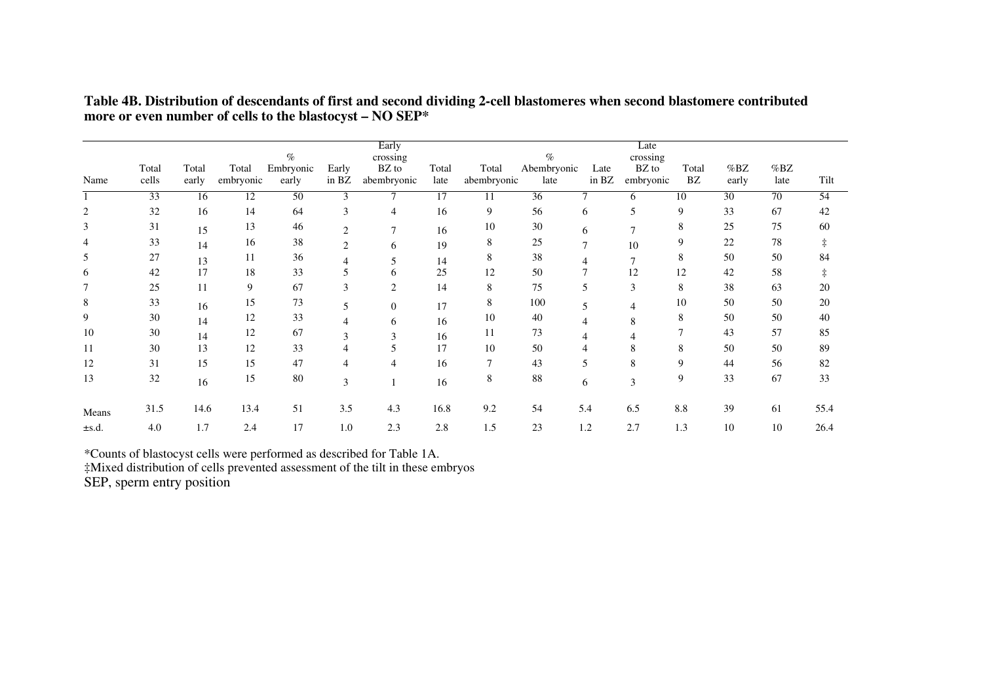### **Table 4B. Distribution of descendants of first and second dividing 2-cell blastomeres when second blastomere contributed more or even number of cells to the blastocyst – NO SEP\***

|            |       |       |           |           |         | Early          |                 |             |                 |                | Late      |       |                 |      |            |
|------------|-------|-------|-----------|-----------|---------|----------------|-----------------|-------------|-----------------|----------------|-----------|-------|-----------------|------|------------|
|            |       |       |           | $\%$      |         | crossing       |                 |             | $\%$            |                | crossing  |       |                 |      |            |
|            | Total | Total | Total     | Embryonic | Early   | BZ to          | Total           | Total       | Abembryonic     | Late           | BZ to     | Total | % BZ            | % BZ |            |
| Name       | cells | early | embryonic | early     | in $BZ$ | abembryonic    | late            | abembryonic | late            | in BZ          | embryonic | BZ    | early           | late | Tilt       |
|            | 33    | 16    | 12        | 50        | 3       |                | $\overline{17}$ | 11          | $\overline{36}$ | 7              | 6.        | 10    | $\overline{30}$ | 70   | 54         |
|            | 32    | 16    | 14        | 64        | 3       | 4              | 16              | 9           | 56              | 6              | 5         | 9     | 33              | 67   | 42         |
| 3          | 31    | 15    | 13        | 46        | 2       | $\overline{7}$ | 16              | 10          | 30              | 6              | $\tau$    | 8     | 25              | 75   | 60         |
|            | 33    | 14    | 16        | 38        | 2       | 6              | 19              | 8           | 25              | $\tau$         | 10        | 9     | 22              | 78   | $\ddagger$ |
| 5          | 27    | 13    | 11        | 36        | 4       | 5              | 14              | 8           | 38              | 4              | 7         | 8     | 50              | 50   | 84         |
| 6          | 42    | 17    | 18        | 33        |         | 6              | 25              | 12          | 50              |                | 12        | 12    | 42              | 58   | $\ddagger$ |
|            | 25    | 11    | 9         | 67        | 3       | 2              | 14              | 8           | 75              | 5              | 3         | 8     | 38              | 63   | 20         |
| 8          | 33    | 16    | 15        | 73        | 5       | $\mathbf{0}$   | 17              | 8           | 100             | $\overline{5}$ | 4         | 10    | 50              | 50   | 20         |
| 9          | 30    | 14    | 12        | 33        |         | 6              | 16              | 10          | 40              |                | 8         | 8     | 50              | 50   | 40         |
| 10         | 30    | 14    | 12        | 67        | 3       | 3              | 16              | 11          | 73              |                |           |       | 43              | 57   | 85         |
|            | 30    | 13    | 12        | 33        |         | 5              | 17              | 10          | 50              |                | 8         | 8     | 50              | 50   | 89         |
| 12         | 31    | 15    | 15        | 47        | 4       | 4              | 16              | 7           | 43              | 5              | 8         | 9     | 44              | 56   | 82         |
| 13         | 32    | 16    | 15        | 80        | 3       |                | 16              | 8           | 88              | 6              | 3         | 9     | 33              | 67   | 33         |
| Means      | 31.5  | 14.6  | 13.4      | 51        | 3.5     | 4.3            | 16.8            | 9.2         | 54              | 5.4            | 6.5       | 8.8   | 39              | 61   | 55.4       |
| $\pm$ s.d. | 4.0   | 1.7   | 2.4       | 17        | 1.0     | 2.3            | 2.8             | 1.5         | 23              | 1.2            | 2.7       | 1.3   | 10              | 10   | 26.4       |

\*Counts of blastocyst cells were performed as described for Table 1A. ‡Mixed distribution of cells prevented assessment of the tilt in these embryos SEP, sperm entry position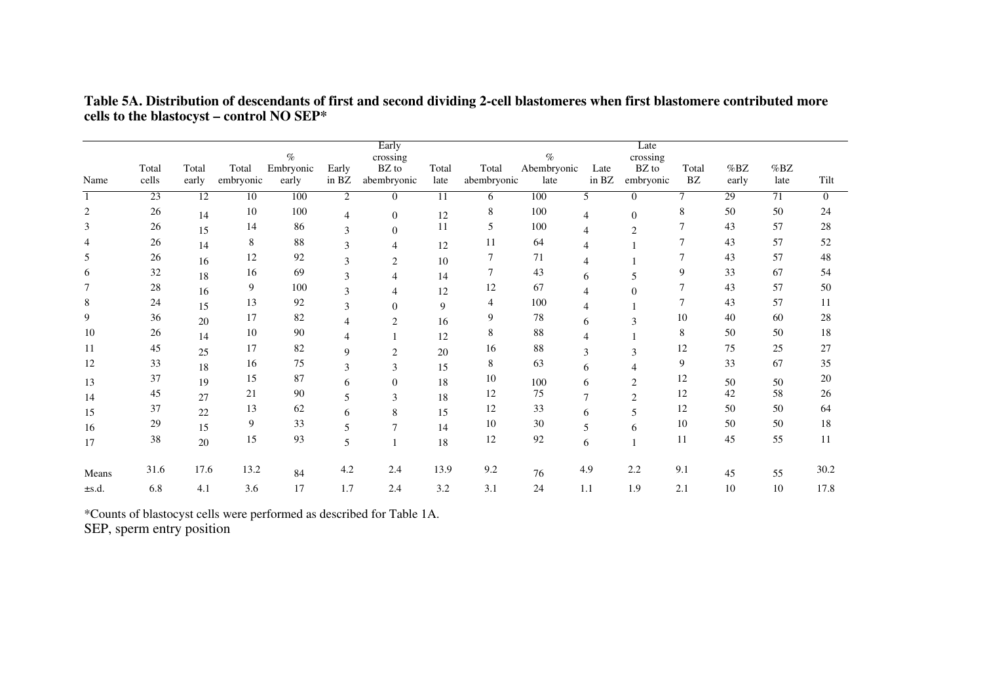### **Table 5A. Distribution of descendants of first and second dividing 2-cell blastomeres when first blastomere contributed more cells to the blastocyst – control NO SEP\***

|            |        |       |           |           |                | Early          |       |             |             |                | Late           |       |       |      |                |
|------------|--------|-------|-----------|-----------|----------------|----------------|-------|-------------|-------------|----------------|----------------|-------|-------|------|----------------|
|            |        |       |           | $\%$      |                | crossing       |       |             | $\%$        |                | crossing       |       |       |      |                |
|            | Total  | Total | Total     | Embryonic | Early          | BZ to          | Total | Total       | Abembryonic | Late           | BZ to          | Total | % BZ  | % BZ |                |
| Name       | cells  | early | embryonic | early     | in $BZ$        | abembryonic    | late  | abembryonic | late        | in BZ          | embryonic      | BZ    | early | late | Tilt           |
|            | 23     | 12    | 10        | 100       | $\overline{2}$ | $\overline{0}$ | 11    | 6           | 100         | 5              | $\overline{0}$ | 7     | 29    | 71   | $\overline{0}$ |
| 2          | 26     | 14    | 10        | 100       | 4              | $\mathbf{0}$   | 12    | 8           | 100         | $\overline{4}$ | $\overline{0}$ | 8     | 50    | 50   | 24             |
| 3          | $26\,$ | 15    | 14        | 86        | 3              | $\Omega$       | 11    | 5           | 100         | $\overline{4}$ | $\overline{2}$ | 7     | 43    | 57   | 28             |
|            | 26     | 14    | 8         | 88        | 3              | 4              | 12    | 11          | 64          | $\overline{4}$ |                | 7     | 43    | 57   | 52             |
| 5          | 26     | 16    | 12        | 92        | 3              | $\overline{c}$ | 10    | 7           | 71          | $\overline{4}$ |                | 7     | 43    | 57   | 48             |
| 6          | 32     | 18    | 16        | 69        | 3              | 4              | 14    | 7           | 43          | 6              | 5              | 9     | 33    | 67   | 54             |
|            | 28     | 16    | 9         | 100       | 3              | 4              | 12    | 12          | 67          | 4              | $\Omega$       | 7     | 43    | 57   | 50             |
| 8          | 24     | 15    | 13        | 92        | 3              | $\theta$       | 9     | 4           | 100         | 4              |                | 7     | 43    | 57   | 11             |
| 9          | 36     | 20    | 17        | 82        |                | $\overline{2}$ | 16    | 9           | 78          | 6              |                | 10    | 40    | 60   | 28             |
| 10         | 26     | 14    | 10        | 90        | 4              |                | 12    | 8           | 88          | $\overline{4}$ |                | 8     | 50    | 50   | 18             |
| 11         | 45     | 25    | 17        | 82        | 9              | $\overline{c}$ | 20    | 16          | 88          | 3              | 3              | 12    | 75    | 25   | 27             |
| 12         | 33     | 18    | 16        | 75        | 3              | 3              | 15    | 8           | 63          | 6              |                | 9     | 33    | 67   | 35             |
| 13         | 37     | 19    | 15        | 87        | 6              | $\overline{0}$ | 18    | $10\,$      | 100         | 6              | $\overline{2}$ | 12    | 50    | 50   | 20             |
| 14         | 45     | 27    | 21        | 90        | 5              | 3              | 18    | 12          | 75          | $\tau$         | $\overline{2}$ | 12    | 42    | 58   | 26             |
| 15         | 37     | 22    | 13        | 62        | 6              | 8              | 15    | 12          | 33          | 6              | 5              | 12    | 50    | 50   | 64             |
| 16         | 29     | 15    | 9         | 33        | 5              | 7              | 14    | 10          | 30          | 5              | 6              | 10    | 50    | 50   | 18             |
| 17         | 38     | 20    | 15        | 93        | 5              | 1              | 18    | 12          | 92          | 6              |                | 11    | 45    | 55   | 11             |
| Means      | 31.6   | 17.6  | 13.2      | 84        | 4.2            | 2.4            | 13.9  | 9.2         | 76          | 4.9            | 2.2            | 9.1   | 45    | 55   | 30.2           |
| $\pm$ s.d. | 6.8    | 4.1   | 3.6       | 17        | 1.7            | 2.4            | 3.2   | 3.1         | 24          | 1.1            | 1.9            | 2.1   | 10    | 10   | 17.8           |

\*Counts of blastocyst cells were performed as described for Table 1A. SEP, sperm entry position